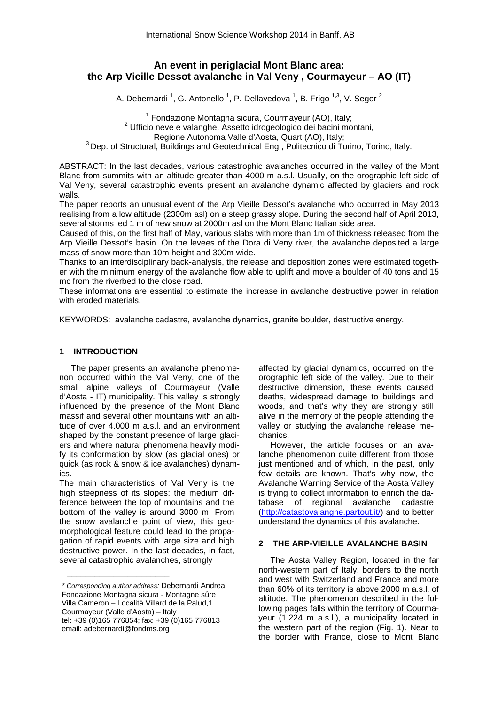# **An event in periglacial Mont Blanc area: the Arp Vieille Dessot avalanche in Val Veny , Courmayeur – AO (IT)**

A. Debernardi <sup>1</sup>, G. Antonello <sup>1</sup>, P. Dellavedova <sup>1</sup>, B. Frigo <sup>1,3</sup>, V. Segor <sup>2</sup>

<sup>1</sup> Fondazione Montagna sicura, Courmayeur (AO), Italy;

<sup>2</sup> Ufficio neve e valanghe, Assetto idrogeologico dei bacini montani,

Regione Autonoma Valle d'Aosta, Quart (AO), Italy;

<sup>3</sup> Dep. of Structural, Buildings and Geotechnical Eng., Politecnico di Torino, Torino, Italy.

ABSTRACT: In the last decades, various catastrophic avalanches occurred in the valley of the Mont Blanc from summits with an altitude greater than 4000 m a.s.l. Usually, on the orographic left side of Val Veny, several catastrophic events present an avalanche dynamic affected by glaciers and rock walls.

The paper reports an unusual event of the Arp Vieille Dessot's avalanche who occurred in May 2013 realising from a low altitude (2300m asl) on a steep grassy slope. During the second half of April 2013, several storms led 1 m of new snow at 2000m asl on the Mont Blanc Italian side area.

Caused of this, on the first half of May, various slabs with more than 1m of thickness released from the Arp Vieille Dessot's basin. On the levees of the Dora di Veny river, the avalanche deposited a large mass of snow more than 10m height and 300m wide.

Thanks to an interdisciplinary back-analysis, the release and deposition zones were estimated together with the minimum energy of the avalanche flow able to uplift and move a boulder of 40 tons and 15 mc from the riverbed to the close road.

These informations are essential to estimate the increase in avalanche destructive power in relation with eroded materials.

KEYWORDS: avalanche cadastre, avalanche dynamics, granite boulder, destructive energy.

# **1 INTRODUCTION**

The paper presents an avalanche phenomenon occurred within the Val Veny, one of the small alpine valleys of Courmayeur (Valle d'Aosta - IT) municipality. This valley is strongly influenced by the presence of the Mont Blanc massif and several other mountains with an altitude of over 4.000 m a.s.l. and an environment shaped by the constant presence of large glaciers and where natural phenomena heavily modify its conformation by slow (as glacial ones) or quick (as rock & snow & ice avalanches) dynamics.

The main characteristics of Val Veny is the high steepness of its slopes: the medium difference between the top of mountains and the bottom of the valley is around 3000 m. From the snow avalanche point of view, this geomorphological feature could lead to the propagation of rapid events with large size and high destructive power. In the last decades, in fact, several catastrophic avalanches, strongly

 $\overline{\phantom{a}}$  , where  $\overline{\phantom{a}}$  , where  $\overline{\phantom{a}}$  , where  $\overline{\phantom{a}}$  , where  $\overline{\phantom{a}}$ 

affected by glacial dynamics, occurred on the orographic left side of the valley. Due to their destructive dimension, these events caused deaths, widespread damage to buildings and woods, and that's why they are strongly still alive in the memory of the people attending the valley or studying the avalanche release mechanics.

However, the article focuses on an avalanche phenomenon quite different from those just mentioned and of which, in the past, only few details are known. That's why now, the Avalanche Warning Service of the Aosta Valley is trying to collect information to enrich the database of regional avalanche cadastre (http://catastovalanghe.partout.it/) and to better understand the dynamics of this avalanche.

# **2 THE ARP-VIEILLE AVALANCHE BASIN**

The Aosta Valley Region, located in the far north-western part of Italy, borders to the north and west with Switzerland and France and more than 60% of its territory is above 2000 m a.s.l. of altitude. The phenomenon described in the following pages falls within the territory of Courmayeur (1.224 m a.s.l.), a municipality located in the western part of the region (Fig. 1). Near to the border with France, close to Mont Blanc

<sup>\*</sup> Corresponding author address: Debernardi Andrea Fondazione Montagna sicura - Montagne sûre Villa Cameron – Località Villard de la Palud,1 Courmayeur (Valle d'Aosta) – Italy tel: +39 (0)165 776854; fax: +39 (0)165 776813 email: adebernardi@fondms.org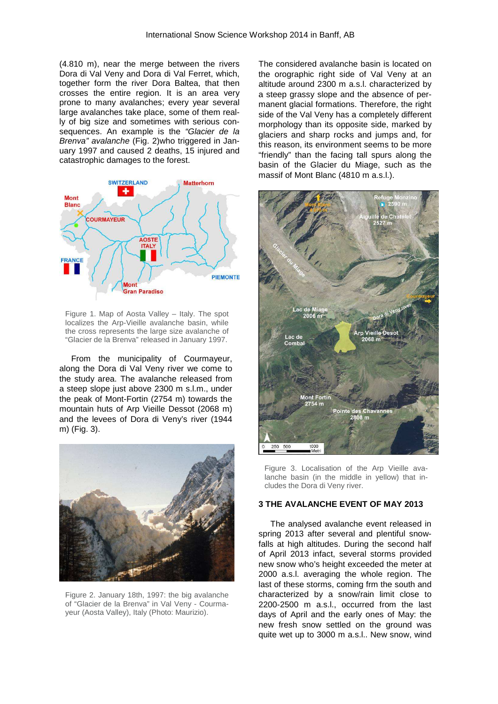(4.810 m), near the merge between the rivers Dora di Val Veny and Dora di Val Ferret, which, together form the river Dora Baltea, that then crosses the entire region. It is an area very prone to many avalanches; every year several large avalanches take place, some of them really of big size and sometimes with serious consequences. An example is the "Glacier de la Brenva" avalanche (Fig. 2)who triggered in January 1997 and caused 2 deaths, 15 injured and catastrophic damages to the forest.



Figure 1. Map of Aosta Valley – Italy. The spot localizes the Arp-Vieille avalanche basin, while the cross represents the large size avalanche of "Glacier de la Brenva" released in January 1997.

From the municipality of Courmayeur, along the Dora di Val Veny river we come to the study area. The avalanche released from a steep slope just above 2300 m s.l.m., under the peak of Mont-Fortin (2754 m) towards the mountain huts of Arp Vieille Dessot (2068 m) and the levees of Dora di Veny's river (1944 m) (Fig. 3).



Figure 2. January 18th, 1997: the big avalanche of "Glacier de la Brenva" in Val Veny - Courmayeur (Aosta Valley), Italy (Photo: Maurizio).

The considered avalanche basin is located on the orographic right side of Val Veny at an altitude around 2300 m a.s.l. characterized by a steep grassy slope and the absence of permanent glacial formations. Therefore, the right side of the Val Veny has a completely different morphology than its opposite side, marked by glaciers and sharp rocks and jumps and, for this reason, its environment seems to be more "friendly" than the facing tall spurs along the basin of the Glacier du Miage, such as the massif of Mont Blanc (4810 m a.s.l.).



Figure 3. Localisation of the Arp Vieille avalanche basin (in the middle in yellow) that includes the Dora di Veny river.

#### **3 THE AVALANCHE EVENT OF MAY 2013**

The analysed avalanche event released in spring 2013 after several and plentiful snowfalls at high altitudes. During the second half of April 2013 infact, several storms provided new snow who's height exceeded the meter at 2000 a.s.l. averaging the whole region. The last of these storms, coming frm the south and characterized by a snow/rain limit close to 2200-2500 m a.s.l., occurred from the last days of April and the early ones of May: the new fresh snow settled on the ground was quite wet up to 3000 m a.s.l.. New snow, wind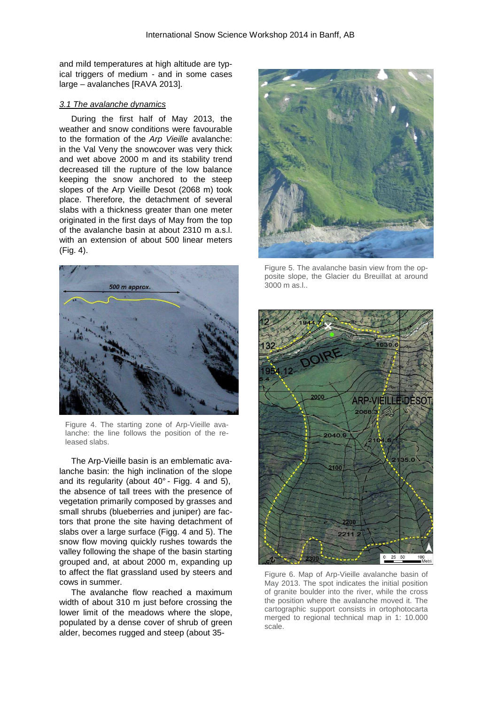and mild temperatures at high altitude are typical triggers of medium - and in some cases large – avalanches [RAVA 2013].

#### 3.1 The avalanche dynamics

During the first half of May 2013, the weather and snow conditions were favourable to the formation of the Arp Vieille avalanche: in the Val Veny the snowcover was very thick and wet above 2000 m and its stability trend decreased till the rupture of the low balance keeping the snow anchored to the steep slopes of the Arp Vieille Desot (2068 m) took place. Therefore, the detachment of several slabs with a thickness greater than one meter originated in the first days of May from the top of the avalanche basin at about 2310 m a.s.l. with an extension of about 500 linear meters (Fig. 4).



Figure 4. The starting zone of Arp-Vieille avalanche: the line follows the position of the released slabs.

The Arp-Vieille basin is an emblematic avalanche basin: the high inclination of the slope and its regularity (about 40° - Figg. 4 and 5), the absence of tall trees with the presence of vegetation primarily composed by grasses and small shrubs (blueberries and juniper) are factors that prone the site having detachment of slabs over a large surface (Figg. 4 and 5). The snow flow moving quickly rushes towards the valley following the shape of the basin starting grouped and, at about 2000 m, expanding up to affect the flat grassland used by steers and cows in summer.

The avalanche flow reached a maximum width of about 310 m just before crossing the lower limit of the meadows where the slope, populated by a dense cover of shrub of green alder, becomes rugged and steep (about 35-



Figure 5. The avalanche basin view from the opposite slope, the Glacier du Breuillat at around 3000 m as.l..



Figure 6. Map of Arp-Vieille avalanche basin of May 2013. The spot indicates the initial position of granite boulder into the river, while the cross the position where the avalanche moved it. The cartographic support consists in ortophotocarta merged to regional technical map in 1: 10.000 scale.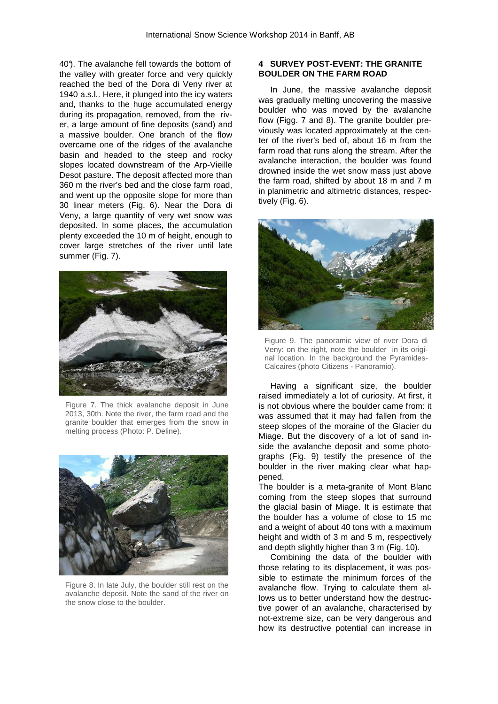40°). The avalanche fell towards the bottom of the valley with greater force and very quickly reached the bed of the Dora di Veny river at 1940 a.s.l.. Here, it plunged into the icy waters and, thanks to the huge accumulated energy during its propagation, removed, from the river, a large amount of fine deposits (sand) and a massive boulder. One branch of the flow overcame one of the ridges of the avalanche basin and headed to the steep and rocky slopes located downstream of the Arp-Vieille Desot pasture. The deposit affected more than 360 m the river's bed and the close farm road, and went up the opposite slope for more than 30 linear meters (Fig. 6). Near the Dora di Veny, a large quantity of very wet snow was deposited. In some places, the accumulation plenty exceeded the 10 m of height, enough to cover large stretches of the river until late summer (Fig. 7).



Figure 7. The thick avalanche deposit in June 2013, 30th. Note the river, the farm road and the granite boulder that emerges from the snow in melting process (Photo: P. Deline).



Figure 8. In late July, the boulder still rest on the avalanche deposit. Note the sand of the river on the snow close to the boulder.

# **4 SURVEY POST-EVENT: THE GRANITE BOULDER ON THE FARM ROAD**

In June, the massive avalanche deposit was gradually melting uncovering the massive boulder who was moved by the avalanche flow (Figg. 7 and 8). The granite boulder previously was located approximately at the center of the river's bed of, about 16 m from the farm road that runs along the stream. After the avalanche interaction, the boulder was found drowned inside the wet snow mass just above the farm road, shifted by about 18 m and 7 m in planimetric and altimetric distances, respectively (Fig. 6).



Figure 9. The panoramic view of river Dora di Veny: on the right, note the boulder in its original location. In the background the Pyramides-Calcaires (photo Citizens - Panoramio).

Having a significant size, the boulder raised immediately a lot of curiosity. At first, it is not obvious where the boulder came from: it was assumed that it may had fallen from the steep slopes of the moraine of the Glacier du Miage. But the discovery of a lot of sand inside the avalanche deposit and some photographs (Fig. 9) testify the presence of the boulder in the river making clear what happened.

The boulder is a meta-granite of Mont Blanc coming from the steep slopes that surround the glacial basin of Miage. It is estimate that the boulder has a volume of close to 15 mc and a weight of about 40 tons with a maximum height and width of 3 m and 5 m, respectively and depth slightly higher than 3 m (Fig. 10).

Combining the data of the boulder with those relating to its displacement, it was possible to estimate the minimum forces of the avalanche flow. Trying to calculate them allows us to better understand how the destructive power of an avalanche, characterised by not-extreme size, can be very dangerous and how its destructive potential can increase in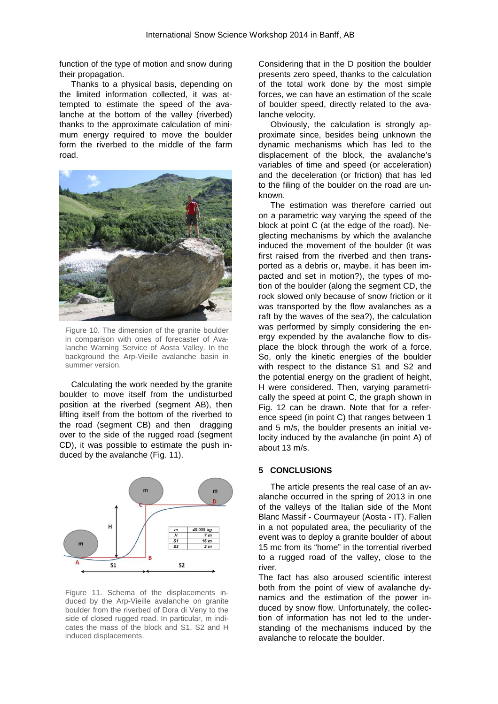function of the type of motion and snow during their propagation.

Thanks to a physical basis, depending on the limited information collected, it was attempted to estimate the speed of the avalanche at the bottom of the valley (riverbed) thanks to the approximate calculation of minimum energy required to move the boulder form the riverbed to the middle of the farm road.



Figure 10. The dimension of the granite boulder in comparison with ones of forecaster of Avalanche Warning Service of Aosta Valley. In the background the Arp-Vieille avalanche basin in summer version.

Calculating the work needed by the granite boulder to move itself from the undisturbed position at the riverbed (segment AB), then lifting itself from the bottom of the riverbed to the road (segment CB) and then dragging over to the side of the rugged road (segment CD), it was possible to estimate the push induced by the avalanche (Fig. 11).



Figure 11. Schema of the displacements induced by the Arp-Vieille avalanche on granite boulder from the riverbed of Dora di Veny to the side of closed rugged road. In particular, m indicates the mass of the block and S1, S2 and H induced displacements.

Considering that in the D position the boulder presents zero speed, thanks to the calculation of the total work done by the most simple forces, we can have an estimation of the scale of boulder speed, directly related to the avalanche velocity.

Obviously, the calculation is strongly approximate since, besides being unknown the dynamic mechanisms which has led to the displacement of the block, the avalanche's variables of time and speed (or acceleration) and the deceleration (or friction) that has led to the filing of the boulder on the road are unknown.

The estimation was therefore carried out on a parametric way varying the speed of the block at point C (at the edge of the road). Neglecting mechanisms by which the avalanche induced the movement of the boulder (it was first raised from the riverbed and then transported as a debris or, maybe, it has been impacted and set in motion?), the types of motion of the boulder (along the segment CD, the rock slowed only because of snow friction or it was transported by the flow avalanches as a raft by the waves of the sea?), the calculation was performed by simply considering the energy expended by the avalanche flow to displace the block through the work of a force. So, only the kinetic energies of the boulder with respect to the distance S1 and S2 and the potential energy on the gradient of height, H were considered. Then, varying parametrically the speed at point C, the graph shown in Fig. 12 can be drawn. Note that for a reference speed (in point C) that ranges between 1 and 5 m/s, the boulder presents an initial velocity induced by the avalanche (in point A) of about 13 m/s.

# **5 CONCLUSIONS**

The article presents the real case of an avalanche occurred in the spring of 2013 in one of the valleys of the Italian side of the Mont Blanc Massif - Courmayeur (Aosta - IT). Fallen in a not populated area, the peculiarity of the event was to deploy a granite boulder of about 15 mc from its "home" in the torrential riverbed to a rugged road of the valley, close to the river.

The fact has also aroused scientific interest both from the point of view of avalanche dynamics and the estimation of the power induced by snow flow. Unfortunately, the collection of information has not led to the understanding of the mechanisms induced by the avalanche to relocate the boulder.